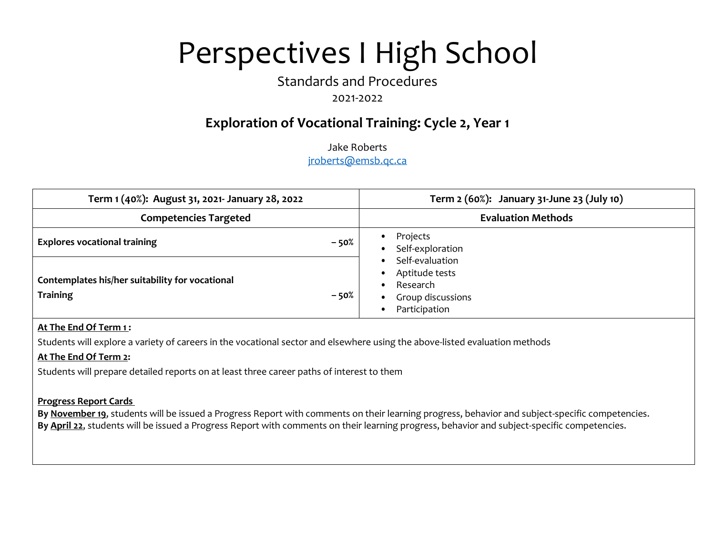# Perspectives I High School

## Standards and Procedures

#### 2021-2022

### **Exploration of Vocational Training: Cycle 2, Year 1**

Jake Roberts jroberts@emsb.qc.ca

| Term 1 (40%): August 31, 2021- January 28, 2022                             | Term 2 (60%): January 31-June 23 (July 10)                                                                                                                                                     |
|-----------------------------------------------------------------------------|------------------------------------------------------------------------------------------------------------------------------------------------------------------------------------------------|
| <b>Competencies Targeted</b>                                                | <b>Evaluation Methods</b>                                                                                                                                                                      |
| <b>Explores vocational training</b><br>$-50%$                               | Projects<br>$\bullet$<br>Self-exploration<br>$\bullet$<br>Self-evaluation<br>$\bullet$<br>Aptitude tests<br>٠<br>Research<br>$\bullet$<br>Group discussions<br>$\bullet$<br>Participation<br>٠ |
| Contemplates his/her suitability for vocational<br><b>Training</b><br>- 50% |                                                                                                                                                                                                |

#### **At The End Of Term 1 :**

Students will explore a variety of careers in the vocational sector and elsewhere using the above-listed evaluation methods

#### **At The End Of Term 2:**

Students will prepare detailed reports on at least three career paths of interest to them

#### **Progress Report Cards**

**By November 19**, students will be issued a Progress Report with comments on their learning progress, behavior and subject-specific competencies. **By April 22**, students will be issued a Progress Report with comments on their learning progress, behavior and subject-specific competencies.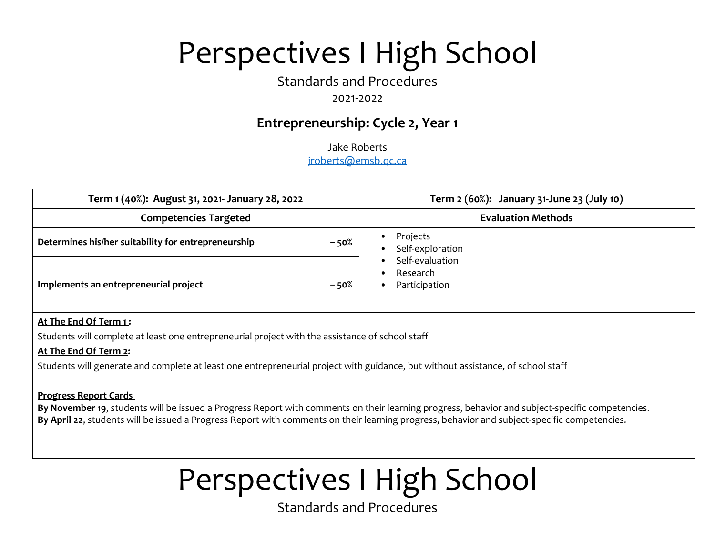# Perspectives I High School

## Standards and Procedures

#### 2021-2022

### **Entrepreneurship: Cycle 2, Year 1**

Jake Roberts jroberts@emsb.qc.ca

| Term 1 (40%): August 31, 2021- January 28, 2022               | Term 2 (60%): January 31-June 23 (July 10)                                                                               |
|---------------------------------------------------------------|--------------------------------------------------------------------------------------------------------------------------|
| <b>Competencies Targeted</b>                                  | <b>Evaluation Methods</b>                                                                                                |
| Determines his/her suitability for entrepreneurship<br>$-50%$ | Projects<br>٠<br>Self-exploration<br>$\bullet$<br>Self-evaluation<br>$\bullet$<br>Research<br>$\bullet$<br>Participation |
| Implements an entrepreneurial project<br>$-50%$               |                                                                                                                          |

#### **At The End Of Term 1 :**

Students will complete at least one entrepreneurial project with the assistance of school staff

#### **At The End Of Term 2:**

Students will generate and complete at least one entrepreneurial project with guidance, but without assistance, of school staff

#### **Progress Report Cards**

**By November 19**, students will be issued a Progress Report with comments on their learning progress, behavior and subject-specific competencies. **By April 22**, students will be issued a Progress Report with comments on their learning progress, behavior and subject-specific competencies.

# Perspectives I High School

Standards and Procedures